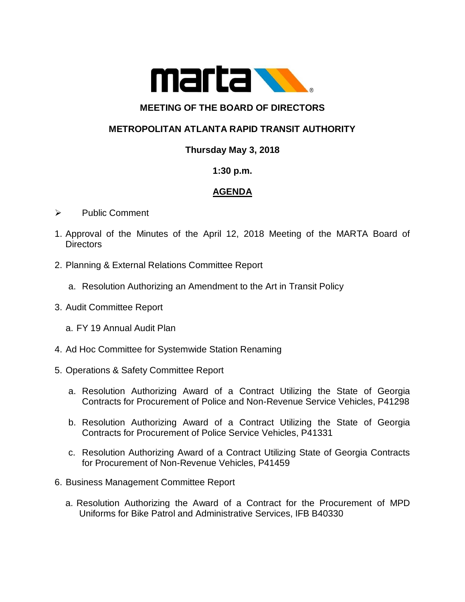

# **MEETING OF THE BOARD OF DIRECTORS**

## **METROPOLITAN ATLANTA RAPID TRANSIT AUTHORITY**

### **Thursday May 3, 2018**

#### **1:30 p.m.**

### **AGENDA**

- ➢ Public Comment
- 1. Approval of the Minutes of the April 12, 2018 Meeting of the MARTA Board of **Directors**
- 2. Planning & External Relations Committee Report
	- a. Resolution Authorizing an Amendment to the Art in Transit Policy
- 3. Audit Committee Report
	- a. FY 19 Annual Audit Plan
- 4. Ad Hoc Committee for Systemwide Station Renaming
- 5. Operations & Safety Committee Report
	- a. Resolution Authorizing Award of a Contract Utilizing the State of Georgia Contracts for Procurement of Police and Non-Revenue Service Vehicles, P41298
	- b. Resolution Authorizing Award of a Contract Utilizing the State of Georgia Contracts for Procurement of Police Service Vehicles, P41331
	- c. Resolution Authorizing Award of a Contract Utilizing State of Georgia Contracts for Procurement of Non-Revenue Vehicles, P41459
- 6. Business Management Committee Report
	- a. Resolution Authorizing the Award of a Contract for the Procurement of MPD Uniforms for Bike Patrol and Administrative Services, IFB B40330